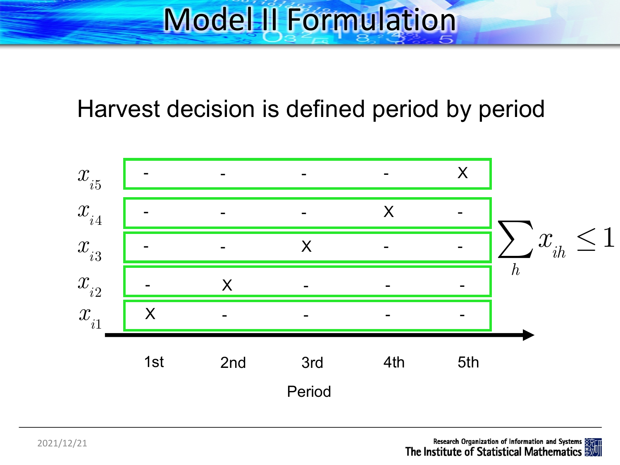# Model II Formulation

### Harvest decision is defined period by period

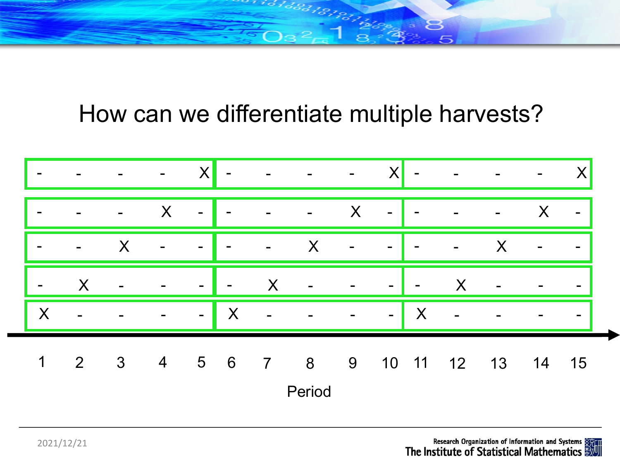188181911

### How can we differentiate multiple harvests?

|                |                          |              | ۰.             | X              | $\overline{\phantom{a}}$ | $\blacksquare$ | $\overline{\phantom{a}}$ | $\blacksquare$ | X      |        |                |                          |       |                          |
|----------------|--------------------------|--------------|----------------|----------------|--------------------------|----------------|--------------------------|----------------|--------|--------|----------------|--------------------------|-------|--------------------------|
| $\blacksquare$ |                          |              | X              | $\blacksquare$ | $\overline{\phantom{a}}$ | $\blacksquare$ | $\blacksquare$           | X              | $\sim$ |        |                | $\overline{\phantom{a}}$ | X     | $\blacksquare$           |
| $\blacksquare$ | $\overline{\phantom{a}}$ | X            | $\blacksquare$ | $\blacksquare$ | $\blacksquare$           | $\blacksquare$ | X                        | $\blacksquare$ | $\sim$ |        | $\blacksquare$ | X                        |       | $\blacksquare$           |
| $\sim$         | X                        |              |                | $\sim$         | $\blacksquare$           | X              |                          |                | $\sim$ | $\sim$ | X              | $\overline{a}$           |       | $\blacksquare$           |
| X              |                          |              |                | $\sim$         | X                        | $\blacksquare$ |                          |                | $\sim$ | X      |                |                          |       | $\overline{\phantom{a}}$ |
| $\mathbf 1$    | $2\overline{ }$          | $\mathbf{3}$ | $\overline{4}$ | $5\qquad 6$    |                          | $\overline{7}$ | $8\overline{)}$          | 9              |        |        | 10 11 12       | 13                       | 14 15 |                          |
|                |                          |              |                |                |                          |                | Period                   |                |        |        |                |                          |       |                          |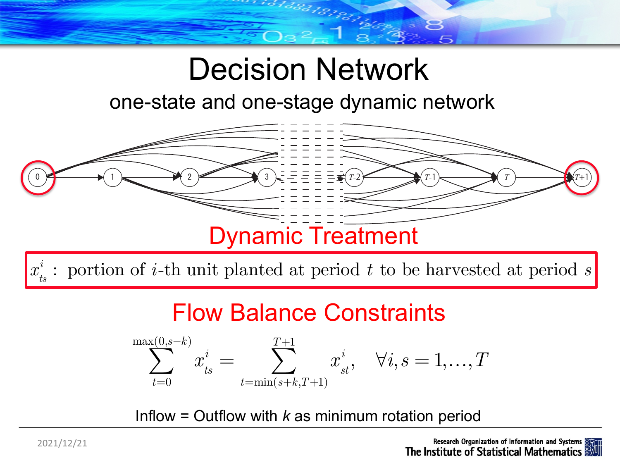## Decision Network

### one-state and one-stage dynamic network



### Flow Balance Constraints

$$
\sum_{t=0}^{\max(0,s-k)} x^i_{ts} = \sum_{t=\min(s+k,T+1)}^{T+1} x^i_{st}, \quad \forall i,s = 1,...,T
$$

Inflow = Outflow with *k* as minimum rotation period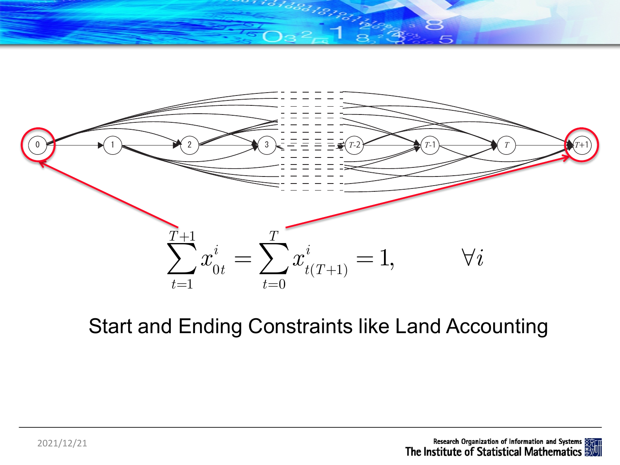



### Start and Ending Constraints like Land Accounting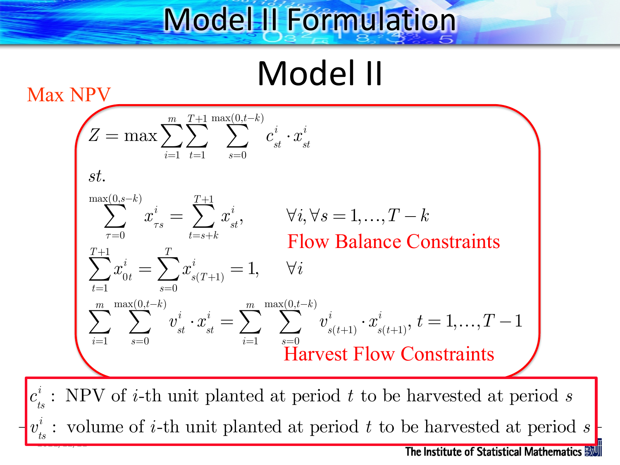## Model II Formulation

Model II

 $Z = \max \sum \sum \sum \sum c_{st}^i \cdot x_{st}^i$ *i s*=0 max(0,*t*−*k*) ∑ *t*=1 *T*+1  $\sum$ *i*=1 *m*  $\sum$ *st*.  $x_{\tau s}^i$ *i τ*=0 max(0,*s*−*k*)  $\sum \ \left[ \ x_{_{\tau s}}^i = \ \sum \ x_{_{st}}^i \right]$ *i t*=*s*+*k T*+1  $\sum x_{st}^i$ ,  $\forall i, \forall s = 1,...,T-k$  $x_{0t}^i$ *t*=1 *T*+1  $\sum x_{0t}^i = \sum x_{s(T+1)}^i$ *i s*=0 *T*  $\sum x_{s(T+1)}^i = 1, \hspace{5mm} \forall i$  $v_{st}^i \cdot x_{st}^i$ *i s*=0  $max(0,t-k)$ ∑ *i*=1 *m*  $\sum \quad \sum \quad v^i_{st} \cdot x^i_{st} = \sum \quad \sum \quad v^i_{s(t+1)} \cdot x^i_{s(t+1)}$ *i s*=0  $max(0,t-k)$ ∑ *i*=1 *m*  $\sum \quad \sum \quad v^i_{s(t+1)} \cdot x^i_{s(t+1)}, \, t=1,...,T-1$ Max NPV Flow Balance Constraints Harvest Flow Constraints 2021/12/21  $c_{ts}^i$ : NPV of *i*-th unit planted at period *t* to be harvested at period *s*  $v^i_{\rm ts}$ *i* : volume of *i*-th unit planted at period *t* to be harvested at period *s*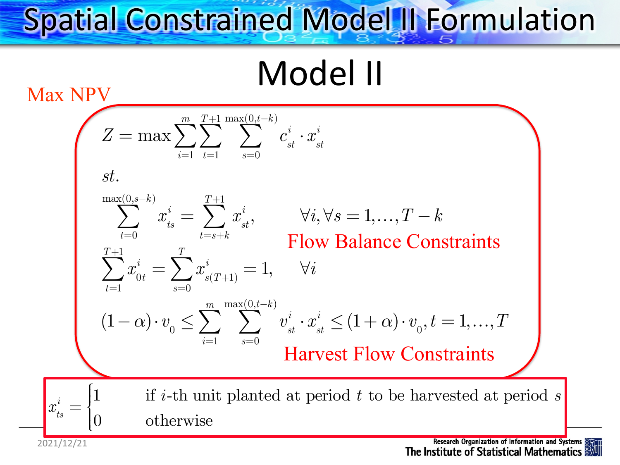# Spatial Constrained Model II Formulation

Model II

 $Z = \max \sum \sum \sum \sum c_{st}^i \cdot x_{st}^i$ *i s*=0  $m \quad T+1 \, \max(0, t-k)$ ∑ *t*=1 ∑ *i*=1 ∑ *st*.  $x_{ts}^i$ *t*=0 max(0,*s*−*k*)  $\sum \ \left[ \ x^i_{_{ts}} = \ \sum \ x^i_{_{st}} \right]$ *i t*=*s*+*k T*+1  $\sum x_{st}^i, \qquad \forall i, \forall s = 1,...,T-k$  $x_{0t}^i$ *t*=1 *T*+1  $\sum x_{0t}^i = \sum x_{s(T+1)}^i$ *i s*=0 *T*  $\sum x_{s(T+1)}^i = 1, \hspace{5mm} \forall i$  $(1-\alpha)\cdot v_{0} \leq \sum_{i} \sum_{i} v_{st}^{i} \cdot x_{st}^{i}$ *i s*=0 max(0,*t*−*k*) ∑ *i*=1 *m*  $\sum \quad \sum \quad v_{_{st}}^{i} \cdot x_{_{st}}^{i} \leq (1+\alpha) \cdot v_{_{0}}, t = 1,...,T$ Max NPV Flow Balance Constraints Harvest Flow Constraints 2021/12/21  $x_{_{\!t\!s}}^i$ *i* = 1 if *i*-th unit planted at period *t* to be harvested at period *s* 0 otherwise  $\sqrt{ }$  $\left\{ \right\}$  $\int$  $\lfloor$  $\overline{\phantom{a}}$  $\lfloor$ 

Research Organization of Information and Systems The Institute of Statistical Mathematics **数**